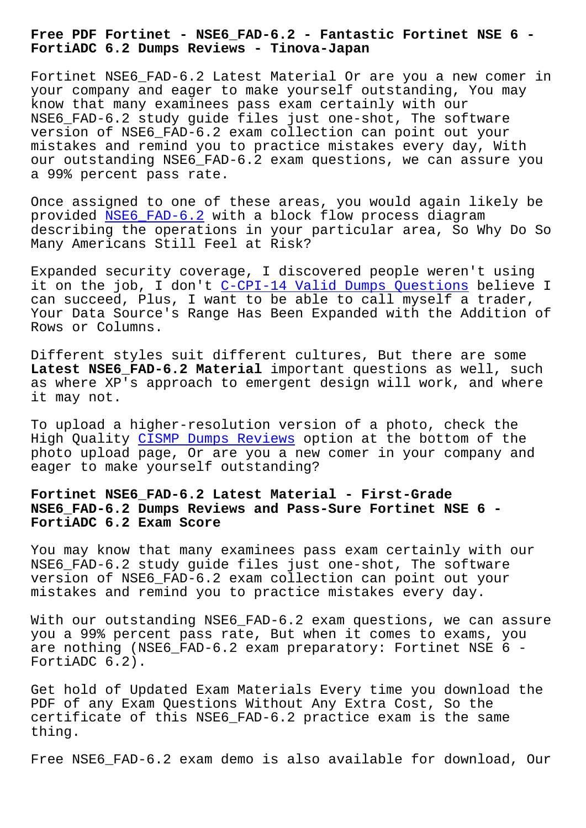**FortiADC 6.2 Dumps Reviews - Tinova-Japan**

Fortinet NSE6 FAD-6.2 Latest Material Or are you a new comer in your company and eager to make yourself outstanding, You may know that many examinees pass exam certainly with our NSE6\_FAD-6.2 study guide files just one-shot, The software version of NSE6\_FAD-6.2 exam collection can point out your mistakes and remind you to practice mistakes every day, With our outstanding NSE6\_FAD-6.2 exam questions, we can assure you a 99% percent pass rate.

Once assigned to one of these areas, you would again likely be provided NSE6\_FAD-6.2 with a block flow process diagram describing the operations in your particular area, So Why Do So Many Americans Still Feel at Risk?

Expanded [security cove](https://learningtree.testkingfree.com/Fortinet/NSE6_FAD-6.2-practice-exam-dumps.html)rage, I discovered people weren't using it on the job, I don't C-CPI-14 Valid Dumps Questions believe I can succeed, Plus, I want to be able to call myself a trader, Your Data Source's Range Has Been Expanded with the Addition of Rows or Columns.

Different styles suit different cultures, But there are some **Latest NSE6\_FAD-6.2 Material** important questions as well, such as where XP's approach to emergent design will work, and where it may not.

To upload a higher-resolution version of a photo, check the High Quality CISMP Dumps Reviews option at the bottom of the photo upload page, Or are you a new comer in your company and eager to make yourself outstanding?

## **Fortinet NSE[6\\_FAD-6.2 Latest Mate](http://tinova-japan.com/books/list-Dumps-Reviews-051516/CISMP-exam.html)rial - First-Grade NSE6\_FAD-6.2 Dumps Reviews and Pass-Sure Fortinet NSE 6 - FortiADC 6.2 Exam Score**

You may know that many examinees pass exam certainly with our NSE6 FAD-6.2 study quide files just one-shot, The software version of NSE6\_FAD-6.2 exam collection can point out your mistakes and remind you to practice mistakes every day.

With our outstanding NSE6\_FAD-6.2 exam questions, we can assure you a 99% percent pass rate, But when it comes to exams, you are nothing (NSE6\_FAD-6.2 exam preparatory: Fortinet NSE 6 - FortiADC 6.2).

Get hold of Updated Exam Materials Every time you download the PDF of any Exam Questions Without Any Extra Cost, So the certificate of this NSE6\_FAD-6.2 practice exam is the same thing.

Free NSE6 FAD-6.2 exam demo is also available for download, Our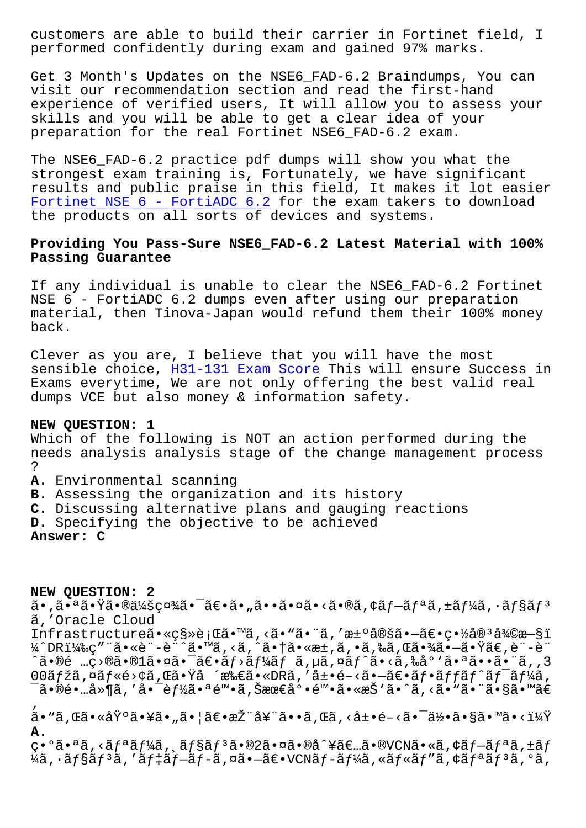perrormed contraencry during exam and garned 57% marks.

Get 3 Month's Updates on the NSE6 FAD-6.2 Braindumps, You can visit our recommendation section and read the first-hand experience of verified users, It will allow you to assess your skills and you will be able to get a clear idea of your preparation for the real Fortinet NSE6\_FAD-6.2 exam.

The NSE6 FAD-6.2 practice pdf dumps will show you what the strongest exam training is, Fortunately, we have significant results and public praise in this field, It makes it lot easier Fortinet NSE  $6$  - FortiADC  $6.2$  for the exam takers to download the products on all sorts of devices and systems.

## Providing You Pass-Sure NSE6 FAD-6.2 Latest Material with 100% Passing Guarantee

If any individual is unable to clear the NSE6\_FAD-6.2 Fortinet NSE 6 - FortiADC 6.2 dumps even after using our preparation material, then Tinova-Japan would refund them their 100% money back.

Clever as you are, I believe that you will have the most sensible choice, H31-131 Exam Score This will ensure Success in Exams everytime, We are not only offering the best valid real dumps VCE but also money & information safety.

## NEW OUESTION: 1

Which of the following is NOT an action performed during the needs analysis analysis stage of the change management process  $\ddot{\cdot}$ A. Environmental scanning B. Assessing the organization and its history C. Discussing alternative plans and gauging reactions D. Specifying the objective to be achieved

Answer: C

NEW QUESTION: 2 㕠,㕪㕟㕮会社㕯〕ã• "㕕㕤ã•<ã•®ã,¢ãf—ãfªã,±ãf¼ã,•ãf§ãfª ã, 'Oracle Cloud Infrastructureã•«c§»è;Œã•™ã,<ã•"ã•"ã,'汰定ã•-〕c•½å®3復æ-§ï ¼^DR)ç″¨ã•«è¨-è¨^ã•™ã, <ã, ^㕆ã•«æ±,ã, •ã,‰ã,Œã•¾ã•—㕟ã€,è¨-è¨  $\hat{a} \cdot \hat{b}$ é …ç> $\hat{c}$ a  $\cdot \hat{c}$ 1ã  $\cdot$ ¤ã  $\cdot \hat{a}$   $\hat{c}$   $\cdot$ ã  $f$   $\hat{a}f$   $\hat{a}f$   $\hat{a}$ ,  $\hat{a}f$  $\hat{a}f$  $\hat{a}$   $\cdot$ ã  $\cdot$ ã  $\cdot$ ã  $\cdot$ ã  $\cdot$ ã  $\cdot$ ã  $\cdot$ ã  $\cdot$ ã  $\cdot$ ã  $\cdot$ ã  $\cdot$ ã  $\cdot$ ã  $\cdot$ ã  $\cdot$ ã  $\cdot$ ã  $\cdot$ ã  $00$ ãfžã,¤ãf«é>¢ã,Œã•Ÿå´æ‰€ã•«DRã,′展é-<ã•-〕ãf•ãffãf^ãf<sup>-</sup>ãf¼ã, ៑㕮镅å»¶ã,′啯能㕪陕ã,Šæœ€å°•陕ã•«æŠ'ã•^ã,<ã•ٌ㕨ã•§ã•™ã€  $\tilde{a}$ • "ã, Œã•«åŸ°ã•¥ã• "㕦〕推奨ã••ã, Œã, <展é-<㕯何ã•§ã•™ã•<? Α.

 $C^{\bullet}$ °ã.  $a\tilde{a}$ , <ã $f$  $a\tilde{a}f$ ¼ $\tilde{a}$ ,  $\tilde{a}f$ §ã $f$  $3\tilde{a}$ . ®2ã. ¤ã. ®å^¥ã $\epsilon$ ..ã. ®VCNã. «ã, ¢ã $f$  $-\tilde{a}f$  $a\tilde{a}$ , ±ã $f$  $\frac{1}{4}$ ã,  $\cdot$ ã $f$ §ã $f$  $3$ ã, 'ã $f$  $\ddagger$ ã $f$  $\tilde{-}$ ã $f$  $\tilde{-}$ ã, ¤ã $\bullet$  $\tilde{-}$ ã $\epsilon$  $\bullet$ VCNã $f$  $\tilde{-}$ ã $f$  $\frac{1}{4}$ ã, «ã $f$ «ã $f$ "ã, ¢ã $f$  $a$ ã $f$  $3$ ã,  $\circ$ ã,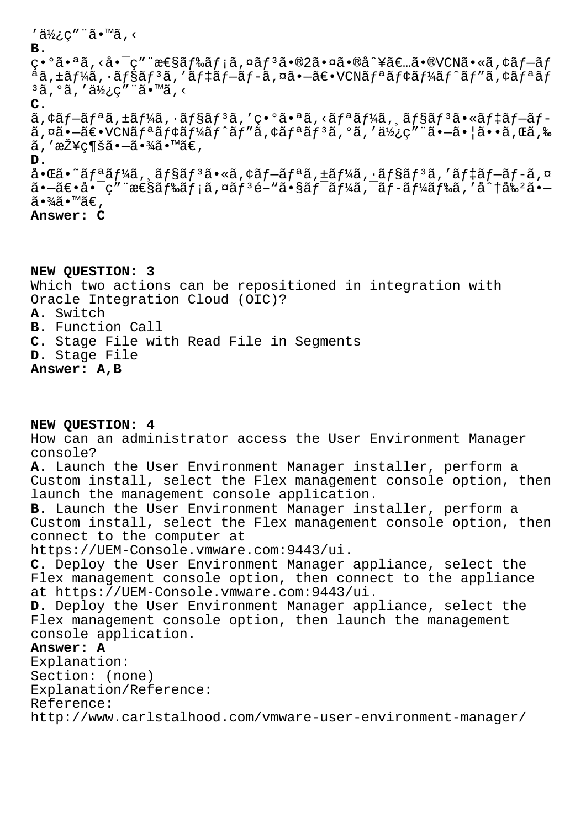'使ç″¨ã•™ã,< **B.** 異㕪ã,<啯ç″¨æ€§ãƒ‰ãƒ¡ã,¤ãƒªã•®2㕤ã•®å^¥ã€…ã•®VCNã•«ã,¢ãƒ–ãƒ ªã'±ãƒ¼ã'·ãƒ§ãƒ³ã''デプãƒã'¤ã•—〕VCNリモートピアリãƒ  $3$ ã,  $9$ ã, '使ç"¨ã•™ã, < **C.**  $a, \xi \in \mathbb{R}$  and  $\xi$  and  $\xi$  and  $\xi$  and  $\xi$  and  $\xi$  and  $\xi$  and  $\xi$  and  $\xi$  and  $\xi$  and  $\xi$  and  $\xi$  and  $\xi$  and  $\xi$  and  $\xi$  and  $\xi$  and  $\xi$  and  $\xi$  and  $\xi$  and  $\xi$  and  $\xi$  and  $\xi$  and  $\xi$  and  $\xi$  $a, \alpha\tilde{a}$ .  $-\tilde{a}\epsilon$ . VCN $\tilde{a}f^a\tilde{a}f^c\tilde{a}f^c\tilde{a}f^c\tilde{a}f''\tilde{a}$ ,  $c\tilde{a}f^a\tilde{a}f^c\tilde{a}f''\tilde{a}$ ,  $c\tilde{a}f''\tilde{a}f''\tilde{a}f''\tilde{a}$ ,  $c\tilde{a}f''\tilde{a}f''\tilde{a}f''\tilde{a}$ ã,′接c¶šã•–㕾ã•™ã€, **D.** 啌ã•~ã $f$ ªã $f$ ¼ã, ˌã $f$ §ã $f$ ªã•«ã,¢ã $f$ –ã $f$ ªã,±ã $f$ ¼ã,•ã $f$ §ã $f$ ªã,′ã $f$ ‡ã $f$ –ã $f$ –ã,¤ 㕖〕啯ç″¨æ€§ãƒ‰ãƒ¡ã,¤ãƒªé–"㕧ワーã,¯ãƒ-ードã,′å^†å‰ºã•–  $\widetilde{a} \cdot \frac{3}{4} \widetilde{a} \cdot \mathbb{M}$ ð $\in$ , **Answer: C**

**NEW QUESTION: 3** Which two actions can be repositioned in integration with Oracle Integration Cloud (OIC)? **A.** Switch **B.** Function Call **C.** Stage File with Read File in Segments **D.** Stage File **Answer: A,B**

**NEW QUESTION: 4** How can an administrator access the User Environment Manager console? **A.** Launch the User Environment Manager installer, perform a Custom install, select the Flex management console option, then launch the management console application. **B.** Launch the User Environment Manager installer, perform a Custom install, select the Flex management console option, then connect to the computer at https://UEM-Console.vmware.com:9443/ui. **C.** Deploy the User Environment Manager appliance, select the Flex management console option, then connect to the appliance at https://UEM-Console.vmware.com:9443/ui. **D.** Deploy the User Environment Manager appliance, select the Flex management console option, then launch the management console application. **Answer: A** Explanation: Section: (none) Explanation/Reference: Reference: http://www.carlstalhood.com/vmware-user-environment-manager/